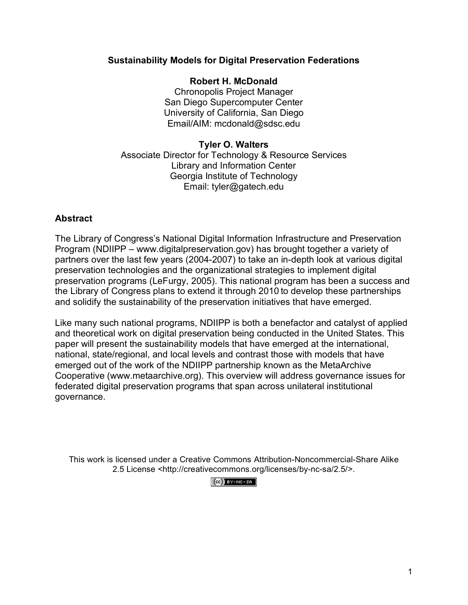# **Sustainability Models for Digital Preservation Federations**

**Robert H. McDonald** Chronopolis Project Manager San Diego Supercomputer Center University of California, San Diego Email/AIM: mcdonald@sdsc.edu

# **Tyler O. Walters** Associate Director for Technology & Resource Services Library and Information Center Georgia Institute of Technology Email: tyler@gatech.edu

# **Abstract**

The Library of Congress's National Digital Information Infrastructure and Preservation Program (NDIIPP – www.digitalpreservation.gov) has brought together a variety of partners over the last few years (2004-2007) to take an in-depth look at various digital preservation technologies and the organizational strategies to implement digital preservation programs (LeFurgy, 2005). This national program has been a success and the Library of Congress plans to extend it through 2010 to develop these partnerships and solidify the sustainability of the preservation initiatives that have emerged.

Like many such national programs, NDIIPP is both a benefactor and catalyst of applied and theoretical work on digital preservation being conducted in the United States. This paper will present the sustainability models that have emerged at the international, national, state/regional, and local levels and contrast those with models that have emerged out of the work of the NDIIPP partnership known as the MetaArchive Cooperative (www.metaarchive.org). This overview will address governance issues for federated digital preservation programs that span across unilateral institutional governance.

This work is licensed under a Creative Commons Attribution-Noncommercial-Share Alike 2.5 License <http://creativecommons.org/licenses/by-nc-sa/2.5/>.

## $(C<sub>c</sub>)$  BY-NC-SA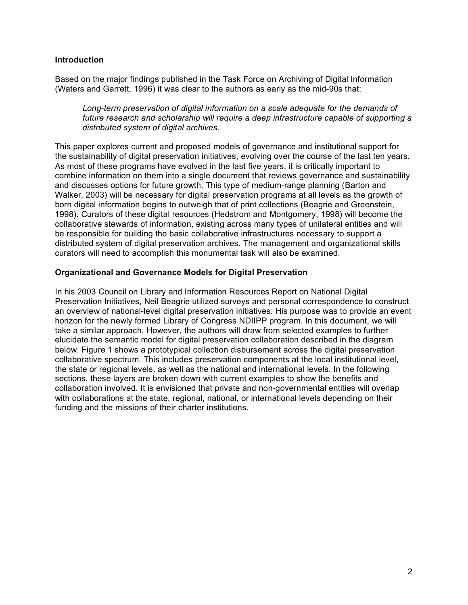#### **Introduction**

Based on the major findings published in the Task Force on Archiving of Digital Information (Waters and Garrett, 1996) it was clear to the authors as early as the mid-90s that:

*Long-term preservation of digital information on a scale adequate for the demands of future research and scholarship will require a deep infrastructure capable of supporting a distributed system of digital archives.*

This paper explores current and proposed models of governance and institutional support for the sustainability of digital preservation initiatives, evolving over the course of the last ten years. As most of these programs have evolved in the last five years, it is critically important to combine information on them into a single document that reviews governance and sustainability and discusses options for future growth. This type of medium-range planning (Barton and Walker, 2003) will be necessary for digital preservation programs at all levels as the growth of born digital information begins to outweigh that of print collections (Beagrie and Greenstein, 1998). Curators of these digital resources (Hedstrom and Montgomery, 1998) will become the collaborative stewards of information, existing across many types of unilateral entities and will be responsible for building the basic collaborative infrastructures necessary to support a distributed system of digital preservation archives. The management and organizational skills curators will need to accomplish this monumental task will also be examined.

#### **Organizational and Governance Models for Digital Preservation**

In his 2003 Council on Library and Information Resources Report on National Digital Preservation Initiatives, Neil Beagrie utilized surveys and personal correspondence to construct an overview of national-level digital preservation initiatives. His purpose was to provide an event horizon for the newly formed Library of Congress NDIIPP program. In this document, we will take a similar approach. However, the authors will draw from selected examples to further elucidate the semantic model for digital preservation collaboration described in the diagram below. Figure 1 shows a prototypical collection disbursement across the digital preservation collaborative spectrum. This includes preservation components at the local institutional level, the state or regional levels, as well as the national and international levels. In the following sections, these layers are broken down with current examples to show the benefits and collaboration involved. It is envisioned that private and non-governmental entities will overlap with collaborations at the state, regional, national, or international levels depending on their funding and the missions of their charter institutions.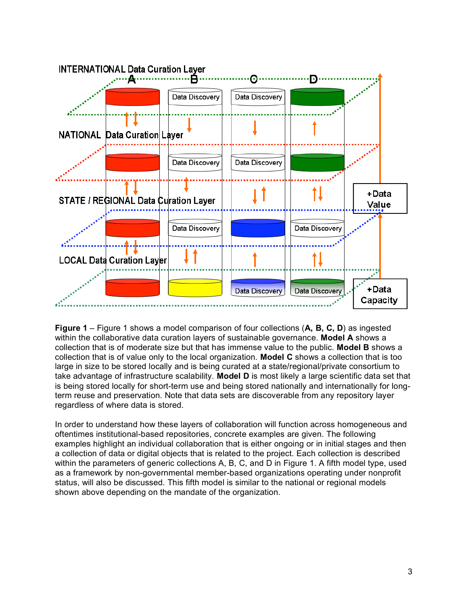

**Figure 1** – Figure 1 shows a model comparison of four collections (**A, B, C, D**) as ingested within the collaborative data curation layers of sustainable governance. **Model A** shows a collection that is of moderate size but that has immense value to the public. **Model B** shows a collection that is of value only to the local organization. **Model C** shows a collection that is too large in size to be stored locally and is being curated at a state/regional/private consortium to take advantage of infrastructure scalability. **Model D** is most likely a large scientific data set that is being stored locally for short-term use and being stored nationally and internationally for longterm reuse and preservation. Note that data sets are discoverable from any repository layer regardless of where data is stored.

In order to understand how these layers of collaboration will function across homogeneous and oftentimes institutional-based repositories, concrete examples are given. The following examples highlight an individual collaboration that is either ongoing or in initial stages and then a collection of data or digital objects that is related to the project. Each collection is described within the parameters of generic collections A, B, C, and D in Figure 1. A fifth model type, used as a framework by non-governmental member-based organizations operating under nonprofit status, will also be discussed. This fifth model is similar to the national or regional models shown above depending on the mandate of the organization.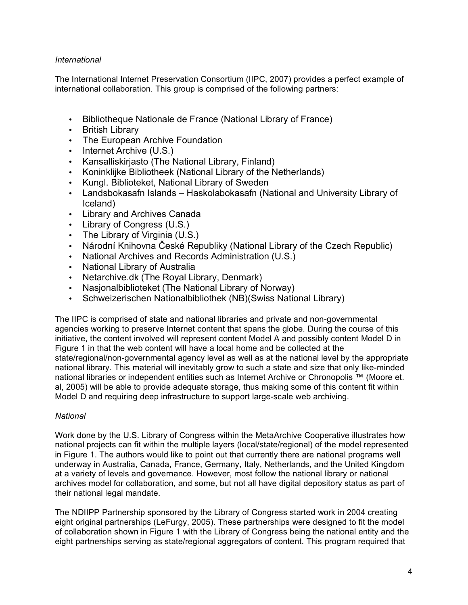## *International*

The International Internet Preservation Consortium (IIPC, 2007) provides a perfect example of international collaboration. This group is comprised of the following partners:

- Bibliotheque Nationale de France (National Library of France)
- British Library
- The European Archive Foundation
- Internet Archive (U.S.)
- Kansalliskirjasto (The National Library, Finland)
- Koninklijke Bibliotheek (National Library of the Netherlands)
- Kungl. Biblioteket, National Library of Sweden
- Landsbokasafn Islands Haskolabokasafn (National and University Library of Iceland)
- Library and Archives Canada
- Library of Congress (U.S.)
- The Library of Virginia (U.S.)
- Národní Knihovna České Republiky (National Library of the Czech Republic)
- National Archives and Records Administration (U.S.)
- National Library of Australia
- Netarchive.dk (The Royal Library, Denmark)
- Nasjonalbiblioteket (The National Library of Norway)
- Schweizerischen Nationalbibliothek (NB)(Swiss National Library)

The IIPC is comprised of state and national libraries and private and non-governmental agencies working to preserve Internet content that spans the globe. During the course of this initiative, the content involved will represent content Model A and possibly content Model D in Figure 1 in that the web content will have a local home and be collected at the state/regional/non-governmental agency level as well as at the national level by the appropriate national library. This material will inevitably grow to such a state and size that only like-minded national libraries or independent entities such as Internet Archive or Chronopolis ™ (Moore et. al, 2005) will be able to provide adequate storage, thus making some of this content fit within Model D and requiring deep infrastructure to support large-scale web archiving.

## *National*

Work done by the U.S. Library of Congress within the MetaArchive Cooperative illustrates how national projects can fit within the multiple layers (local/state/regional) of the model represented in Figure 1. The authors would like to point out that currently there are national programs well underway in Australia, Canada, France, Germany, Italy, Netherlands, and the United Kingdom at a variety of levels and governance. However, most follow the national library or national archives model for collaboration, and some, but not all have digital depository status as part of their national legal mandate.

The NDIIPP Partnership sponsored by the Library of Congress started work in 2004 creating eight original partnerships (LeFurgy, 2005). These partnerships were designed to fit the model of collaboration shown in Figure 1 with the Library of Congress being the national entity and the eight partnerships serving as state/regional aggregators of content. This program required that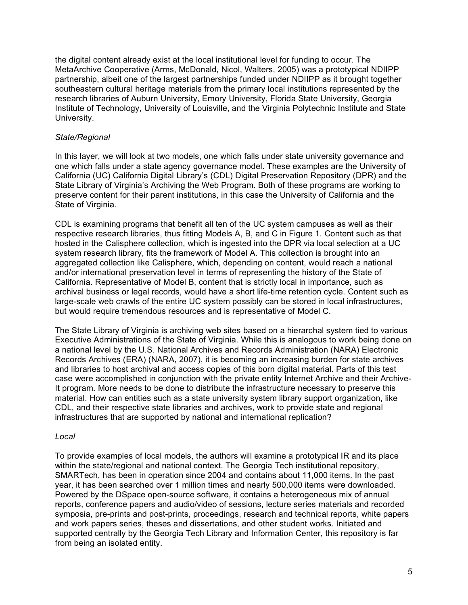the digital content already exist at the local institutional level for funding to occur. The MetaArchive Cooperative (Arms, McDonald, Nicol, Walters, 2005) was a prototypical NDIIPP partnership, albeit one of the largest partnerships funded under NDIIPP as it brought together southeastern cultural heritage materials from the primary local institutions represented by the research libraries of Auburn University, Emory University, Florida State University, Georgia Institute of Technology, University of Louisville, and the Virginia Polytechnic Institute and State University.

## *State/Regional*

In this layer, we will look at two models, one which falls under state university governance and one which falls under a state agency governance model. These examples are the University of California (UC) California Digital Library's (CDL) Digital Preservation Repository (DPR) and the State Library of Virginia's Archiving the Web Program. Both of these programs are working to preserve content for their parent institutions, in this case the University of California and the State of Virginia.

CDL is examining programs that benefit all ten of the UC system campuses as well as their respective research libraries, thus fitting Models A, B, and C in Figure 1. Content such as that hosted in the Calisphere collection, which is ingested into the DPR via local selection at a UC system research library, fits the framework of Model A. This collection is brought into an aggregated collection like Calisphere, which, depending on content, would reach a national and/or international preservation level in terms of representing the history of the State of California. Representative of Model B, content that is strictly local in importance, such as archival business or legal records, would have a short life-time retention cycle. Content such as large-scale web crawls of the entire UC system possibly can be stored in local infrastructures, but would require tremendous resources and is representative of Model C.

The State Library of Virginia is archiving web sites based on a hierarchal system tied to various Executive Administrations of the State of Virginia. While this is analogous to work being done on a national level by the U.S. National Archives and Records Administration (NARA) Electronic Records Archives (ERA) (NARA, 2007), it is becoming an increasing burden for state archives and libraries to host archival and access copies of this born digital material. Parts of this test case were accomplished in conjunction with the private entity Internet Archive and their Archive-It program. More needs to be done to distribute the infrastructure necessary to preserve this material. How can entities such as a state university system library support organization, like CDL, and their respective state libraries and archives, work to provide state and regional infrastructures that are supported by national and international replication?

## *Local*

To provide examples of local models, the authors will examine a prototypical IR and its place within the state/regional and national context. The Georgia Tech institutional repository, SMARTech, has been in operation since 2004 and contains about 11,000 items. In the past year, it has been searched over 1 million times and nearly 500,000 items were downloaded. Powered by the DSpace open-source software, it contains a heterogeneous mix of annual reports, conference papers and audio/video of sessions, lecture series materials and recorded symposia, pre-prints and post-prints, proceedings, research and technical reports, white papers and work papers series, theses and dissertations, and other student works. Initiated and supported centrally by the Georgia Tech Library and Information Center, this repository is far from being an isolated entity.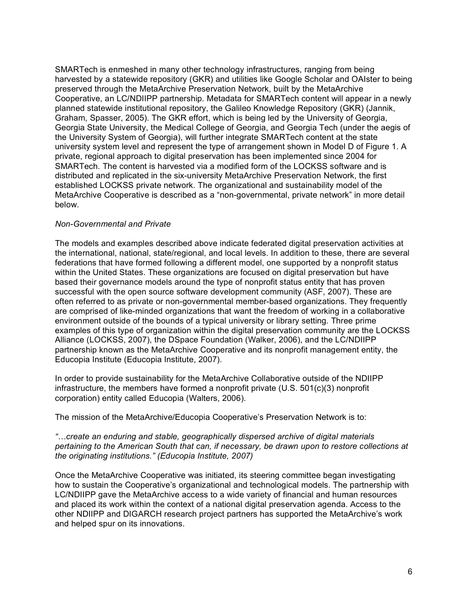SMARTech is enmeshed in many other technology infrastructures, ranging from being harvested by a statewide repository (GKR) and utilities like Google Scholar and OAIster to being preserved through the MetaArchive Preservation Network, built by the MetaArchive Cooperative, an LC/NDIIPP partnership. Metadata for SMARTech content will appear in a newly planned statewide institutional repository, the Galileo Knowledge Repository (GKR) (Jannik, Graham, Spasser, 2005). The GKR effort, which is being led by the University of Georgia, Georgia State University, the Medical College of Georgia, and Georgia Tech (under the aegis of the University System of Georgia), will further integrate SMARTech content at the state university system level and represent the type of arrangement shown in Model D of Figure 1. A private, regional approach to digital preservation has been implemented since 2004 for SMARTech. The content is harvested via a modified form of the LOCKSS software and is distributed and replicated in the six-university MetaArchive Preservation Network, the first established LOCKSS private network. The organizational and sustainability model of the MetaArchive Cooperative is described as a "non-governmental, private network" in more detail below.

#### *Non-Governmental and Private*

The models and examples described above indicate federated digital preservation activities at the international, national, state/regional, and local levels. In addition to these, there are several federations that have formed following a different model, one supported by a nonprofit status within the United States. These organizations are focused on digital preservation but have based their governance models around the type of nonprofit status entity that has proven successful with the open source software development community (ASF, 2007). These are often referred to as private or non-governmental member-based organizations. They frequently are comprised of like-minded organizations that want the freedom of working in a collaborative environment outside of the bounds of a typical university or library setting. Three prime examples of this type of organization within the digital preservation community are the LOCKSS Alliance (LOCKSS, 2007), the DSpace Foundation (Walker, 2006), and the LC/NDIIPP partnership known as the MetaArchive Cooperative and its nonprofit management entity, the Educopia Institute (Educopia Institute, 2007).

In order to provide sustainability for the MetaArchive Collaborative outside of the NDIIPP infrastructure, the members have formed a nonprofit private (U.S. 501(c)(3) nonprofit corporation) entity called Educopia (Walters, 2006).

The mission of the MetaArchive/Educopia Cooperative's Preservation Network is to:

*"…create an enduring and stable, geographically dispersed archive of digital materials pertaining to the American South that can, if necessary, be drawn upon to restore collections at the originating institutions." (Educopia Institute, 2007)*

Once the MetaArchive Cooperative was initiated, its steering committee began investigating how to sustain the Cooperative's organizational and technological models. The partnership with LC/NDIIPP gave the MetaArchive access to a wide variety of financial and human resources and placed its work within the context of a national digital preservation agenda. Access to the other NDIIPP and DIGARCH research project partners has supported the MetaArchive's work and helped spur on its innovations.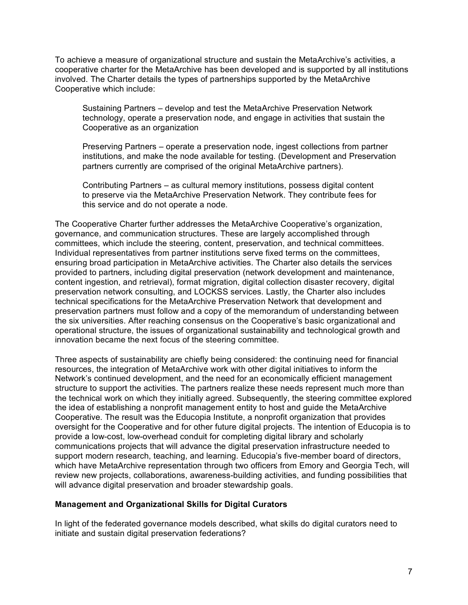To achieve a measure of organizational structure and sustain the MetaArchive's activities, a cooperative charter for the MetaArchive has been developed and is supported by all institutions involved. The Charter details the types of partnerships supported by the MetaArchive Cooperative which include:

Sustaining Partners – develop and test the MetaArchive Preservation Network technology, operate a preservation node, and engage in activities that sustain the Cooperative as an organization

Preserving Partners – operate a preservation node, ingest collections from partner institutions, and make the node available for testing. (Development and Preservation partners currently are comprised of the original MetaArchive partners).

Contributing Partners – as cultural memory institutions, possess digital content to preserve via the MetaArchive Preservation Network. They contribute fees for this service and do not operate a node.

The Cooperative Charter further addresses the MetaArchive Cooperative's organization, governance, and communication structures. These are largely accomplished through committees, which include the steering, content, preservation, and technical committees. Individual representatives from partner institutions serve fixed terms on the committees, ensuring broad participation in MetaArchive activities. The Charter also details the services provided to partners, including digital preservation (network development and maintenance, content ingestion, and retrieval), format migration, digital collection disaster recovery, digital preservation network consulting, and LOCKSS services. Lastly, the Charter also includes technical specifications for the MetaArchive Preservation Network that development and preservation partners must follow and a copy of the memorandum of understanding between the six universities. After reaching consensus on the Cooperative's basic organizational and operational structure, the issues of organizational sustainability and technological growth and innovation became the next focus of the steering committee.

Three aspects of sustainability are chiefly being considered: the continuing need for financial resources, the integration of MetaArchive work with other digital initiatives to inform the Network's continued development, and the need for an economically efficient management structure to support the activities. The partners realize these needs represent much more than the technical work on which they initially agreed. Subsequently, the steering committee explored the idea of establishing a nonprofit management entity to host and guide the MetaArchive Cooperative. The result was the Educopia Institute, a nonprofit organization that provides oversight for the Cooperative and for other future digital projects. The intention of Educopia is to provide a low-cost, low-overhead conduit for completing digital library and scholarly communications projects that will advance the digital preservation infrastructure needed to support modern research, teaching, and learning. Educopia's five-member board of directors, which have MetaArchive representation through two officers from Emory and Georgia Tech, will review new projects, collaborations, awareness-building activities, and funding possibilities that will advance digital preservation and broader stewardship goals.

#### **Management and Organizational Skills for Digital Curators**

In light of the federated governance models described, what skills do digital curators need to initiate and sustain digital preservation federations?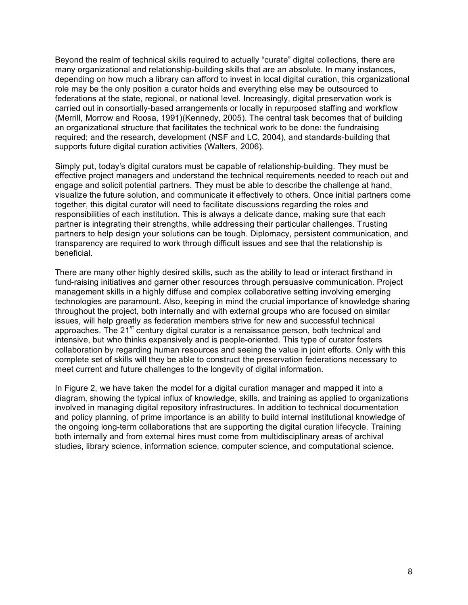Beyond the realm of technical skills required to actually "curate" digital collections, there are many organizational and relationship-building skills that are an absolute. In many instances, depending on how much a library can afford to invest in local digital curation, this organizational role may be the only position a curator holds and everything else may be outsourced to federations at the state, regional, or national level. Increasingly, digital preservation work is carried out in consortially-based arrangements or locally in repurposed staffing and workflow (Merrill, Morrow and Roosa, 1991)(Kennedy, 2005). The central task becomes that of building an organizational structure that facilitates the technical work to be done: the fundraising required; and the research, development (NSF and LC, 2004), and standards-building that supports future digital curation activities (Walters, 2006).

Simply put, today's digital curators must be capable of relationship-building. They must be effective project managers and understand the technical requirements needed to reach out and engage and solicit potential partners. They must be able to describe the challenge at hand, visualize the future solution, and communicate it effectively to others. Once initial partners come together, this digital curator will need to facilitate discussions regarding the roles and responsibilities of each institution. This is always a delicate dance, making sure that each partner is integrating their strengths, while addressing their particular challenges. Trusting partners to help design your solutions can be tough. Diplomacy, persistent communication, and transparency are required to work through difficult issues and see that the relationship is beneficial.

There are many other highly desired skills, such as the ability to lead or interact firsthand in fund-raising initiatives and garner other resources through persuasive communication. Project management skills in a highly diffuse and complex collaborative setting involving emerging technologies are paramount. Also, keeping in mind the crucial importance of knowledge sharing throughout the project, both internally and with external groups who are focused on similar issues, will help greatly as federation members strive for new and successful technical approaches. The 21<sup>st</sup> century digital curator is a renaissance person, both technical and intensive, but who thinks expansively and is people-oriented. This type of curator fosters collaboration by regarding human resources and seeing the value in joint efforts. Only with this complete set of skills will they be able to construct the preservation federations necessary to meet current and future challenges to the longevity of digital information.

In Figure 2, we have taken the model for a digital curation manager and mapped it into a diagram, showing the typical influx of knowledge, skills, and training as applied to organizations involved in managing digital repository infrastructures. In addition to technical documentation and policy planning, of prime importance is an ability to build internal institutional knowledge of the ongoing long-term collaborations that are supporting the digital curation lifecycle. Training both internally and from external hires must come from multidisciplinary areas of archival studies, library science, information science, computer science, and computational science.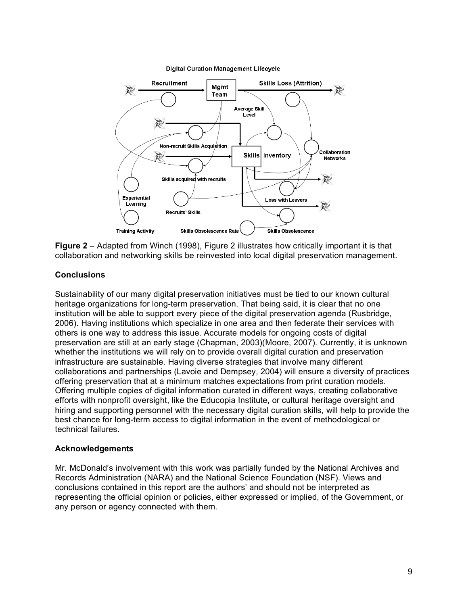

#### **Digital Curation Management Lifecycle**

**Figure 2** – Adapted from Winch (1998), Figure 2 illustrates how critically important it is that collaboration and networking skills be reinvested into local digital preservation management.

#### **Conclusions**

Sustainability of our many digital preservation initiatives must be tied to our known cultural heritage organizations for long-term preservation. That being said, it is clear that no one institution will be able to support every piece of the digital preservation agenda (Rusbridge, 2006). Having institutions which specialize in one area and then federate their services with others is one way to address this issue. Accurate models for ongoing costs of digital preservation are still at an early stage (Chapman, 2003)(Moore, 2007). Currently, it is unknown whether the institutions we will rely on to provide overall digital curation and preservation infrastructure are sustainable. Having diverse strategies that involve many different collaborations and partnerships (Lavoie and Dempsey, 2004) will ensure a diversity of practices offering preservation that at a minimum matches expectations from print curation models. Offering multiple copies of digital information curated in different ways, creating collaborative efforts with nonprofit oversight, like the Educopia Institute, or cultural heritage oversight and hiring and supporting personnel with the necessary digital curation skills, will help to provide the best chance for long-term access to digital information in the event of methodological or technical failures.

#### **Acknowledgements**

Mr. McDonald's involvement with this work was partially funded by the National Archives and Records Administration (NARA) and the National Science Foundation (NSF). Views and conclusions contained in this report are the authors' and should not be interpreted as representing the official opinion or policies, either expressed or implied, of the Government, or any person or agency connected with them.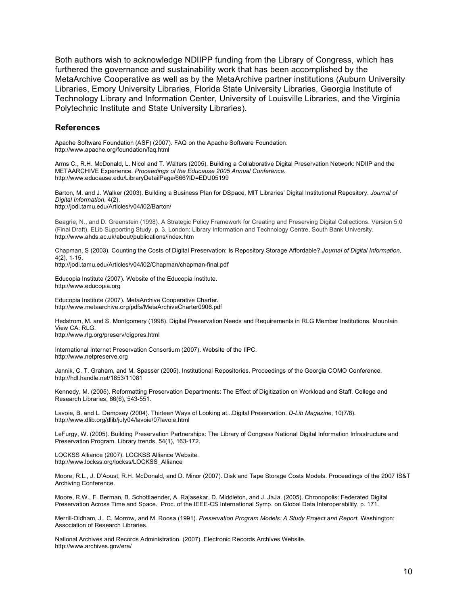Both authors wish to acknowledge NDIIPP funding from the Library of Congress, which has furthered the governance and sustainability work that has been accomplished by the MetaArchive Cooperative as well as by the MetaArchive partner institutions (Auburn University Libraries, Emory University Libraries, Florida State University Libraries, Georgia Institute of Technology Library and Information Center, University of Louisville Libraries, and the Virginia Polytechnic Institute and State University Libraries).

#### **References**

Apache Software Foundation (ASF) (2007). FAQ on the Apache Software Foundation. http://www.apache.org/foundation/faq.html

Arms C., R.H. McDonald, L. Nicol and T. Walters (2005). Building a Collaborative Digital Preservation Network: NDIIP and the METAARCHIVE Experience. *Proceedings of the Educause 2005 Annual Conference*. http://www.educause.edu/LibraryDetailPage/666?ID=EDU05199

Barton, M. and J. Walker (2003). Building a Business Plan for DSpace, MIT Libraries' Digital Institutional Repository. *Journal of Digital Information*, 4(2). http://jodi.tamu.edu/Articles/v04/i02/Barton/

Beagrie, N., and D. Greenstein (1998). A Strategic Policy Framework for Creating and Preserving Digital Collections. Version 5.0 (Final Draft). ELib Supporting Study, p. 3. London: Library Information and Technology Centre, South Bank University. http://www.ahds.ac.uk/about/publications/index.htm

Chapman, S (2003). Counting the Costs of Digital Preservation: Is Repository Storage Affordable?.*Journal of Digital Information*, 4(2), 1-15.

http://jodi.tamu.edu/Articles/v04/i02/Chapman/chapman-final.pdf

Educopia Institute (2007). Website of the Educopia Institute. http://www.educopia.org

Educopia Institute (2007). MetaArchive Cooperative Charter. http://www.metaarchive.org/pdfs/MetaArchiveCharter0906.pdf

Hedstrom, M. and S. Montgomery (1998). Digital Preservation Needs and Requirements in RLG Member Institutions. Mountain View CA: RLG.

http://www.rlg.org/preserv/digpres.html

International Internet Preservation Consortium (2007). Website of the IIPC. http://www.netpreserve.org

Jannik, C. T. Graham, and M. Spasser (2005). Institutional Repositories. Proceedings of the Georgia COMO Conference. http://hdl.handle.net/1853/11081

Kennedy, M. (2005). Reformatting Preservation Departments: The Effect of Digitization on Workload and Staff. College and Research Libraries, 66(6), 543-551.

Lavoie, B. and L. Dempsey (2004). Thirteen Ways of Looking at...Digital Preservation. *D-Lib Magazine*, 10(7/8). http://www.dlib.org/dlib/july04/lavoie/07lavoie.html

LeFurgy, W. (2005). Building Preservation Partnerships: The Library of Congress National Digital Information Infrastructure and Preservation Program. Library trends, 54(1), 163-172.

LOCKSS Alliance (2007). LOCKSS Alliance Website. http://www.lockss.org/lockss/LOCKSS\_Alliance

Moore, R.L., J. D'Aoust, R.H. McDonald, and D. Minor (2007). Disk and Tape Storage Costs Models. Proceedings of the 2007 IS&T Archiving Conference.

Moore, R.W., F. Berman, B. Schottlaender, A. Rajasekar, D. Middleton, and J. JaJa. (2005). Chronopolis: Federated Digital Preservation Across Time and Space. Proc. of the IEEE-CS International Symp. on Global Data Interoperability, p. 171.

Merrill-Oldham, J., C. Morrow, and M. Roosa (1991). *Preservation Program Models: A Study Project and Report*. Washington: Association of Research Libraries.

National Archives and Records Administration. (2007). Electronic Records Archives Website. http://www.archives.gov/era/